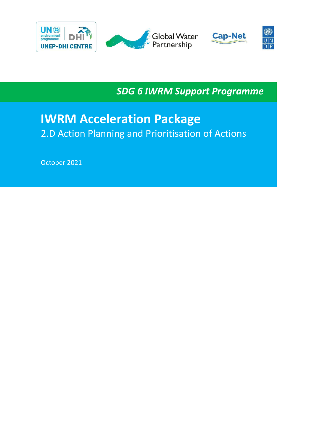

*SDG 6 IWRM Support Programme*

# **IWRM Acceleration Package** 2.D Action Planning and Prioritisation of Actions

October 2021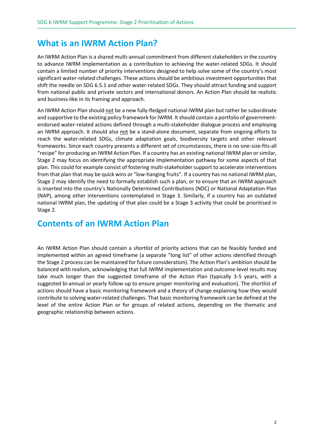### **What is an IWRM Action Plan?**

An IWRM Action Plan is a shared multi-annual commitment from different stakeholders in the country to advance IWRM implementation as a contribution to achieving the water-related SDGs. It should contain a limited number of priority interventions designed to help solve some of the country's most significant water-related challenges. These actions should be ambitious investment opportunities that shift the needle on SDG 6.5.1 and other water-related SDGs. They should attract funding and support from national public and private sectors and international donors. An Action Plan should be realistic and business-like in its framing and approach.

An IWRM Action Plan should not be a new fully-fledged national IWRM plan but rather be subordinate and supportive to the existing policy framework for IWRM. It should contain a portfolio of governmentendorsed water-related actions defined through a multi-stakeholder dialogue process and employing an IWRM approach. It should also not be a stand-alone document, separate from ongoing efforts to reach the water-related SDGs, climate adaptation goals, biodiversity targets and other relevant frameworks. Since each country presents a different set of circumstances, there is no one-size-fits-all "recipe" for producing an IWRM Action Plan. If a country has an existing national IWRM plan or similar, Stage 2 may focus on identifying the appropriate implementation pathway for some aspects of that plan. This could for example consist of fostering multi-stakeholder support to accelerate interventions from that plan that may be quick wins or "low-hanging fruits". If a country has no national IWRM plan, Stage 2 may identify the need to formally establish such a plan, or to ensure that an IWRM approach is inserted into the country's Nationally Determined Contributions (NDC) or National Adaptation Plan (NAP), among other interventions contemplated in Stage 3. Similarly, if a country has an outdated national IWRM plan, the updating of that plan could be a Stage 3 activity that could be prioritised in Stage 2.

### **Contents of an IWRM Action Plan**

An IWRM Action Plan should contain a *shortlist* of priority actions that can be feasibly funded and implemented within an agreed timeframe (a separate "long list" of other actions identified through the Stage 2 process can be maintained for future consideration). The Action Plan's ambition should be balanced with realism, acknowledging that full IWRM implementation and outcome-level results may take much longer than the suggested timeframe of the Action Plan (typically 3-5 years, with a suggested bi-annual or yearly follow-up to ensure proper monitoring and evaluation). The shortlist of actions should have a basic monitoring framework and a theory of change explaining how they would contribute to solving water-related challenges. That basic monitoring framework can be defined at the level of the entire Action Plan or for groups of related actions, depending on the thematic and geographic relationship between actions.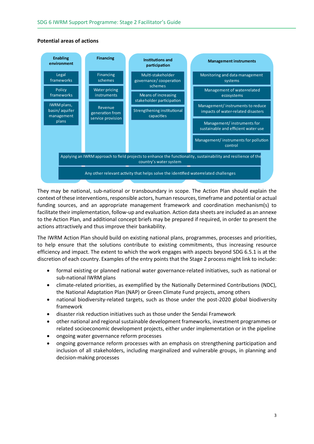#### **Potential areas of actions**



They may be national, sub-national or transboundary in scope. The Action Plan should explain the context of these interventions, responsible actors, human resources, timeframe and potential or actual funding sources, and an appropriate management framework and coordination mechanism(s) to facilitate their implementation, follow-up and evaluation. Action data sheets are included as an annexe to the Action Plan, and additional concept briefs may be prepared if required, in order to present the actions attractively and thus improve their bankability.

The IWRM Action Plan should build on existing national plans, programmes, processes and priorities, to help ensure that the solutions contribute to existing commitments, thus increasing resource efficiency and impact. The extent to which the work engages with aspects beyond SDG 6.5.1 is at the discretion of each country. Examples of the entry points that the Stage 2 process might link to include:

- formal existing or planned national water governance-related initiatives, such as national or sub-national IWRM plans
- climate-related priorities, as exemplified by the Nationally Determined Contributions (NDC), the National Adaptation Plan (NAP) or Green Climate Fund projects, among others
- national biodiversity-related targets, such as those under the post-2020 global biodiversity framework
- disaster risk reduction initiatives such as those under the Sendai Framework
- other national and regional sustainable development frameworks, investment programmes or related socioeconomic development projects, either under implementation or in the pipeline
- ongoing water governance reform processes
- ongoing governance reform processes with an emphasis on strengthening participation and inclusion of all stakeholders, including marginalized and vulnerable groups, in planning and decision-making processes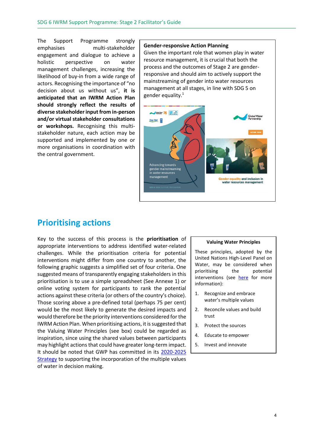The Support Programme strongly emphasises multi-stakeholder engagement and dialogue to achieve a holistic perspective on water management challenges, increasing the likelihood of buy-in from a wide range of actors. Recognising the importance of "no decision about us without us", **it is anticipated that an IWRM Action Plan should strongly reflect the results of diverse stakeholder input from in-person and/or virtual stakeholder consultations or workshops.** Recognising this multistakeholder nature, each action may be supported and implemented by one or more organisations in coordination with the central government.

#### **Gender-responsive Action Planning**

Given the important role that women play in water resource management, it is crucial that both the process and the outcomes of Stage 2 are genderresponsive and should aim to actively support the mainstreaming of gender into water resources management at all stages, in line with SDG 5 on gender equality.1



### **Prioritising actions**

Key to the success of this process is the **prioritisation** of appropriate interventions to address identified water-related challenges. While the prioritisation criteria for potential interventions might differ from one country to another, the following graphic suggests a simplified set of four criteria. One suggested means of transparently engaging stakeholders in this prioritisation is to use a simple spreadsheet (See Annexe 1) or online voting system for participants to rank the potential actions against these criteria (or others of the country's choice). Those scoring above a pre-defined total (perhaps 75 per cent) would be the most likely to generate the desired impacts and would therefore be the priority interventions considered for the IWRM Action Plan. When prioritising actions, it is suggested that the Valuing Water Principles (see box) could be regarded as inspiration, since using the shared values between participants may highlight actions that could have greater long-term impact. It should be noted that GWP has committed in its [2020-2025](https://www.gwp.org/globalassets/global/about-gwp/strategic-documents/gwp-strategy-2020-2025.pdf)  [Strategy](https://www.gwp.org/globalassets/global/about-gwp/strategic-documents/gwp-strategy-2020-2025.pdf) to supporting the incorporation of the multiple values of water in decision making.

#### **Valuing Water Principles**

These principles, adopted by the United Nations High-Level Panel on Water, may be considered when prioritising the potential interventions (see [here](https://www.government.nl/topics/water-management/valuing-water-initiative) for more information):

- 1. Recognize and embrace water's multiple values
- 2. Reconcile values and build trust
- 3. Protect the sources
- 4. Educate to empower
- 5. Invest and innovate